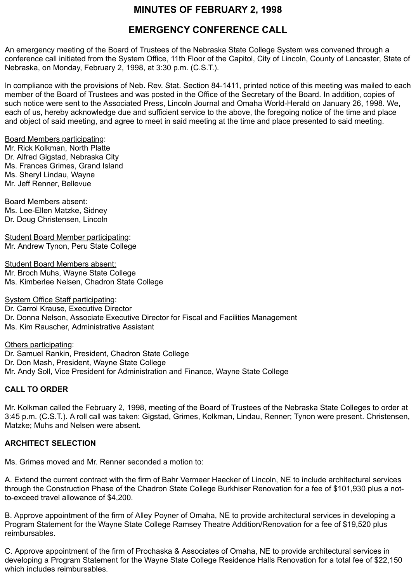## **MINUTES OF FEBRUARY 2, 1998**

### **EMERGENCY CONFERENCE CALL**

An emergency meeting of the Board of Trustees of the Nebraska State College System was convened through a conference call initiated from the System Office, 11th Floor of the Capitol, City of Lincoln, County of Lancaster, State of Nebraska, on Monday, February 2, 1998, at 3:30 p.m. (C.S.T.).

In compliance with the provisions of Neb. Rev. Stat. Section 84-1411, printed notice of this meeting was mailed to each member of the Board of Trustees and was posted in the Office of the Secretary of the Board. In addition, copies of such notice were sent to the Associated Press, Lincoln Journal and Omaha World-Herald on January 26, 1998. We, each of us, hereby acknowledge due and sufficient service to the above, the foregoing notice of the time and place and object of said meeting, and agree to meet in said meeting at the time and place presented to said meeting.

Board Members participating: Mr. Rick Kolkman, North Platte Dr. Alfred Gigstad, Nebraska City Ms. Frances Grimes, Grand Island Ms. Sheryl Lindau, Wayne Mr. Jeff Renner, Bellevue

Board Members absent: Ms. Lee-Ellen Matzke, Sidney Dr. Doug Christensen, Lincoln

Student Board Member participating: Mr. Andrew Tynon, Peru State College

Student Board Members absent: Mr. Broch Muhs, Wayne State College Ms. Kimberlee Nelsen, Chadron State College

System Office Staff participating: Dr. Carrol Krause, Executive Director Dr. Donna Nelson, Associate Executive Director for Fiscal and Facilities Management Ms. Kim Rauscher, Administrative Assistant

Others participating: Dr. Samuel Rankin, President, Chadron State College Dr. Don Mash, President, Wayne State College Mr. Andy Soll, Vice President for Administration and Finance, Wayne State College

#### **CALL TO ORDER**

Mr. Kolkman called the February 2, 1998, meeting of the Board of Trustees of the Nebraska State Colleges to order at 3:45 p.m. (C.S.T.). A roll call was taken: Gigstad, Grimes, Kolkman, Lindau, Renner; Tynon were present. Christensen, Matzke; Muhs and Nelsen were absent.

#### **ARCHITECT SELECTION**

Ms. Grimes moved and Mr. Renner seconded a motion to:

A. Extend the current contract with the firm of Bahr Vermeer Haecker of Lincoln, NE to include architectural services through the Construction Phase of the Chadron State College Burkhiser Renovation for a fee of \$101,930 plus a notto-exceed travel allowance of \$4,200.

B. Approve appointment of the firm of Alley Poyner of Omaha, NE to provide architectural services in developing a Program Statement for the Wayne State College Ramsey Theatre Addition/Renovation for a fee of \$19,520 plus reimbursables.

C. Approve appointment of the firm of Prochaska & Associates of Omaha, NE to provide architectural services in developing a Program Statement for the Wayne State College Residence Halls Renovation for a total fee of \$22,150 which includes reimbursables.